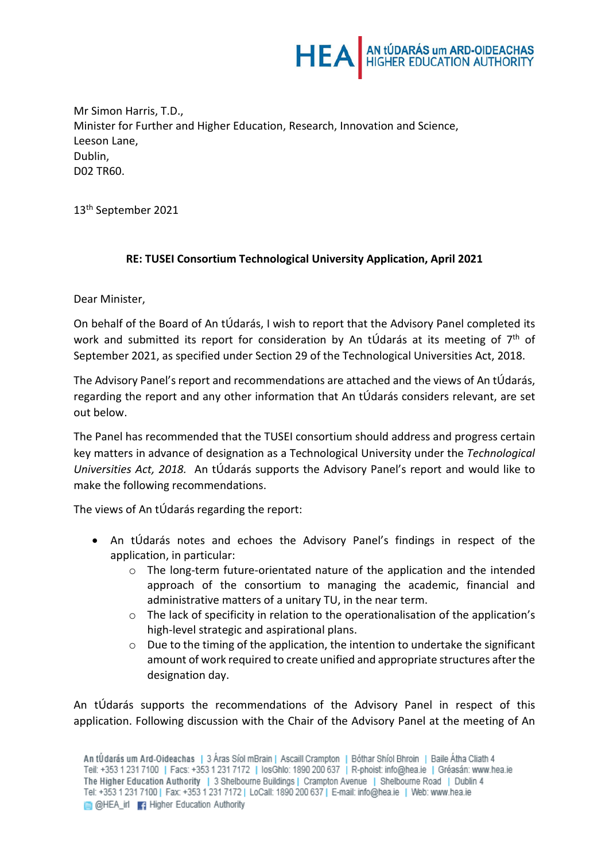

Mr Simon Harris, T.D., Minister for Further and Higher Education, Research, Innovation and Science, Leeson Lane, Dublin, D02 TR60.

13th September 2021

## **RE: TUSEI Consortium Technological University Application, April 2021**

Dear Minister,

On behalf of the Board of An tÚdarás, I wish to report that the Advisory Panel completed its work and submitted its report for consideration by An tÚdarás at its meeting of  $7<sup>th</sup>$  of September 2021, as specified under Section 29 of the Technological Universities Act, 2018.

The Advisory Panel's report and recommendations are attached and the views of An tÚdarás, regarding the report and any other information that An tÚdarás considers relevant, are set out below.

The Panel has recommended that the TUSEI consortium should address and progress certain key matters in advance of designation as a Technological University under the *Technological Universities Act, 2018.* An tÚdarás supports the Advisory Panel's report and would like to make the following recommendations.

The views of An tÚdarás regarding the report:

- An tÚdarás notes and echoes the Advisory Panel's findings in respect of the application, in particular:
	- $\circ$  The long-term future-orientated nature of the application and the intended approach of the consortium to managing the academic, financial and administrative matters of a unitary TU, in the near term.
	- $\circ$  The lack of specificity in relation to the operationalisation of the application's high-level strategic and aspirational plans.
	- $\circ$  Due to the timing of the application, the intention to undertake the significant amount of work required to create unified and appropriate structures after the designation day.

An tÚdarás supports the recommendations of the Advisory Panel in respect of this application. Following discussion with the Chair of the Advisory Panel at the meeting of An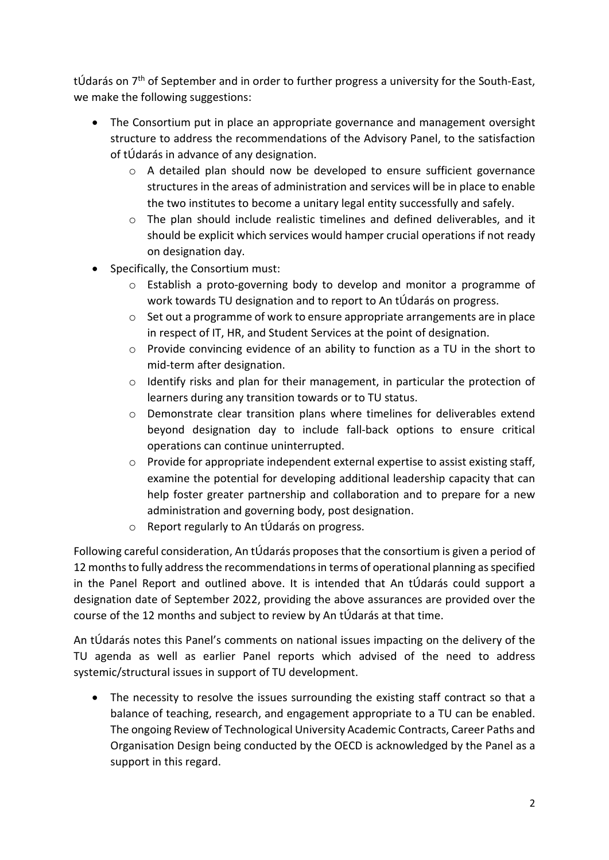tÚdarás on  $7<sup>th</sup>$  of September and in order to further progress a university for the South-East, we make the following suggestions:

- The Consortium put in place an appropriate governance and management oversight structure to address the recommendations of the Advisory Panel, to the satisfaction of tÚdarás in advance of any designation.
	- $\circ$  A detailed plan should now be developed to ensure sufficient governance structures in the areas of administration and services will be in place to enable the two institutes to become a unitary legal entity successfully and safely.
	- $\circ$  The plan should include realistic timelines and defined deliverables, and it should be explicit which services would hamper crucial operations if not ready on designation day.
- Specifically, the Consortium must:
	- o Establish a proto-governing body to develop and monitor a programme of work towards TU designation and to report to An tÚdarás on progress.
	- $\circ$  Set out a programme of work to ensure appropriate arrangements are in place in respect of IT, HR, and Student Services at the point of designation.
	- o Provide convincing evidence of an ability to function as a TU in the short to mid-term after designation.
	- $\circ$  Identify risks and plan for their management, in particular the protection of learners during any transition towards or to TU status.
	- o Demonstrate clear transition plans where timelines for deliverables extend beyond designation day to include fall-back options to ensure critical operations can continue uninterrupted.
	- o Provide for appropriate independent external expertise to assist existing staff, examine the potential for developing additional leadership capacity that can help foster greater partnership and collaboration and to prepare for a new administration and governing body, post designation.
	- o Report regularly to An tÚdarás on progress.

Following careful consideration, An tÚdarás proposes that the consortium is given a period of 12 months to fully address the recommendations in terms of operational planning as specified in the Panel Report and outlined above. It is intended that An tÚdarás could support a designation date of September 2022, providing the above assurances are provided over the course of the 12 months and subject to review by An tÚdarás at that time.

An tÚdarás notes this Panel's comments on national issues impacting on the delivery of the TU agenda as well as earlier Panel reports which advised of the need to address systemic/structural issues in support of TU development.

The necessity to resolve the issues surrounding the existing staff contract so that a balance of teaching, research, and engagement appropriate to a TU can be enabled. The ongoing Review of Technological University Academic Contracts, Career Paths and Organisation Design being conducted by the OECD is acknowledged by the Panel as a support in this regard.